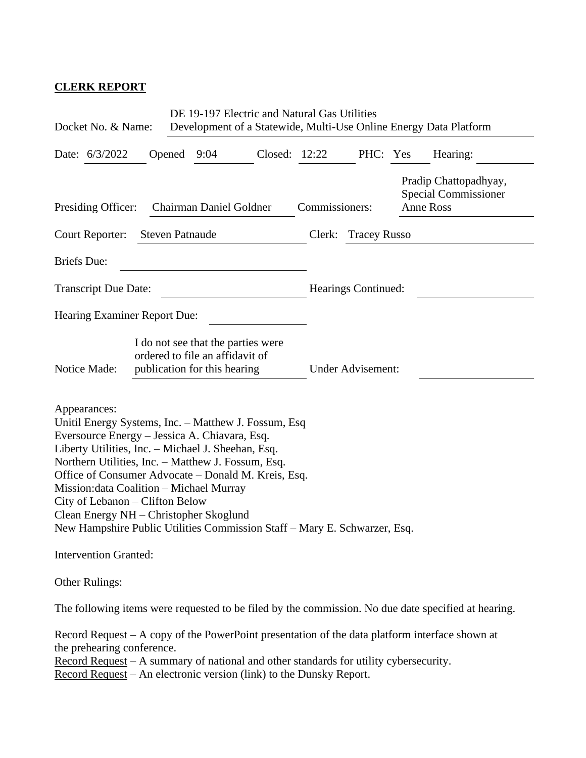## **CLERK REPORT**

| Docket No. & Name:                                                                                                                                                                                                                                                                                 |                                                                 | DE 19-197 Electric and Natural Gas Utilities<br>Development of a Statewide, Multi-Use Online Energy Data Platform                                                                                                                                                                        |                          |                     |  |                                                                                                     |  |
|----------------------------------------------------------------------------------------------------------------------------------------------------------------------------------------------------------------------------------------------------------------------------------------------------|-----------------------------------------------------------------|------------------------------------------------------------------------------------------------------------------------------------------------------------------------------------------------------------------------------------------------------------------------------------------|--------------------------|---------------------|--|-----------------------------------------------------------------------------------------------------|--|
| Date: 6/3/2022                                                                                                                                                                                                                                                                                     | Opened<br>9:04                                                  |                                                                                                                                                                                                                                                                                          | Closed: 12:22            | PHC: Yes            |  | Hearing:                                                                                            |  |
| Presiding Officer:                                                                                                                                                                                                                                                                                 |                                                                 | Chairman Daniel Goldner                                                                                                                                                                                                                                                                  | Commissioners:           |                     |  | Pradip Chattopadhyay,<br><b>Special Commissioner</b><br><b>Anne Ross</b>                            |  |
| Court Reporter:<br><b>Steven Patnaude</b>                                                                                                                                                                                                                                                          |                                                                 |                                                                                                                                                                                                                                                                                          | Clerk:                   | <b>Tracey Russo</b> |  |                                                                                                     |  |
| <b>Briefs</b> Due:                                                                                                                                                                                                                                                                                 |                                                                 |                                                                                                                                                                                                                                                                                          |                          |                     |  |                                                                                                     |  |
| <b>Transcript Due Date:</b>                                                                                                                                                                                                                                                                        |                                                                 |                                                                                                                                                                                                                                                                                          |                          | Hearings Continued: |  |                                                                                                     |  |
| Hearing Examiner Report Due:                                                                                                                                                                                                                                                                       |                                                                 |                                                                                                                                                                                                                                                                                          |                          |                     |  |                                                                                                     |  |
| Notice Made:                                                                                                                                                                                                                                                                                       | ordered to file an affidavit of<br>publication for this hearing | I do not see that the parties were                                                                                                                                                                                                                                                       | <b>Under Advisement:</b> |                     |  |                                                                                                     |  |
| Appearances:<br>Eversource Energy - Jessica A. Chiavara, Esq.<br>Liberty Utilities, Inc. - Michael J. Sheehan, Esq.<br>Northern Utilities, Inc. - Matthew J. Fossum, Esq.<br>Mission: data Coalition - Michael Murray<br>City of Lebanon – Clifton Below<br>Clean Energy NH – Christopher Skoglund |                                                                 | Unitil Energy Systems, Inc. - Matthew J. Fossum, Esq.<br>Office of Consumer Advocate – Donald M. Kreis, Esq.<br>New Hampshire Public Utilities Commission Staff – Mary E. Schwarzer, Esq.                                                                                                |                          |                     |  |                                                                                                     |  |
| <b>Intervention Granted:</b>                                                                                                                                                                                                                                                                       |                                                                 |                                                                                                                                                                                                                                                                                          |                          |                     |  |                                                                                                     |  |
| <b>Other Rulings:</b>                                                                                                                                                                                                                                                                              |                                                                 |                                                                                                                                                                                                                                                                                          |                          |                     |  |                                                                                                     |  |
|                                                                                                                                                                                                                                                                                                    |                                                                 |                                                                                                                                                                                                                                                                                          |                          |                     |  | The following items were requested to be filed by the commission. No due date specified at hearing. |  |
| the prehearing conference.                                                                                                                                                                                                                                                                         |                                                                 | $\frac{Record \text{ Request}}{} - A \text{ copy of the PowerPoint presentation of the data platform interface shown at$<br>Record Request - A summary of national and other standards for utility cybersecurity.<br>Record Request - An electronic version (link) to the Dunsky Report. |                          |                     |  |                                                                                                     |  |